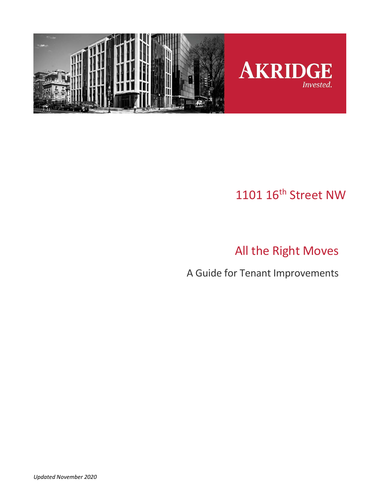

# 1101 16<sup>th</sup> Street NW

# All the Right Moves

A Guide for Tenant Improvements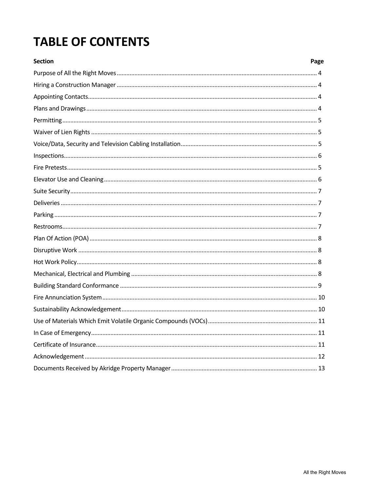# **TABLE OF CONTENTS**

| <b>Section</b> | Page |
|----------------|------|
|                |      |
|                |      |
|                |      |
|                |      |
|                |      |
|                |      |
|                |      |
|                |      |
|                |      |
|                |      |
|                |      |
|                |      |
|                |      |
|                |      |
|                |      |
|                |      |
|                |      |
|                |      |
|                |      |
|                |      |
|                |      |
|                |      |
|                |      |
|                |      |
|                |      |
|                |      |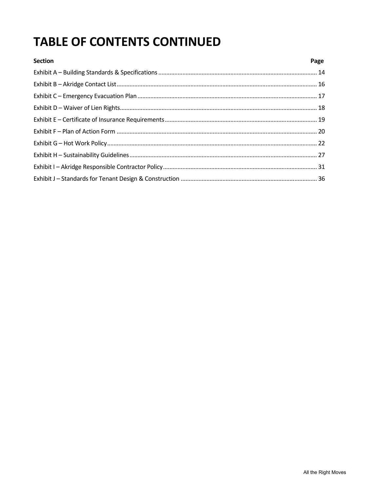# **TABLE OF CONTENTS CONTINUED**

| <b>Section</b> | Page |
|----------------|------|
|                |      |
|                |      |
|                |      |
|                |      |
|                |      |
|                |      |
|                |      |
|                |      |
|                |      |
|                |      |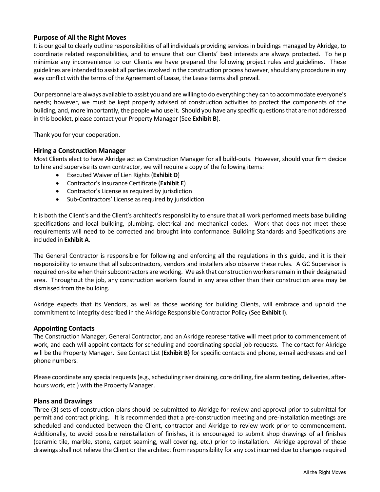#### **Purpose of All the Right Moves**

It is our goal to clearly outline responsibilities of all individuals providing services in buildings managed by Akridge, to coordinate related responsibilities, and to ensure that our Clients' best interests are always protected. To help minimize any inconvenience to our Clients we have prepared the following project rules and guidelines. These guidelines are intended to assist all parties involved in the construction process however, should any procedure in any way conflict with the terms of the Agreement of Lease, the Lease terms shall prevail.

Our personnel are always available to assist you and are willing to do everything they can to accommodate everyone's needs; however, we must be kept properly advised of construction activities to protect the components of the building, and, more importantly, the people who use it. Should you have any specific questions that are not addressed in this booklet, please contact your Property Manager (See **Exhibit B**).

Thank you for your cooperation.

#### **Hiring a Construction Manager**

Most Clients elect to have Akridge act as Construction Manager for all build‐outs. However, should your firm decide to hire and supervise its own contractor, we will require a copy of the following items:

- Executed Waiver of Lien Rights (**Exhibit D**)
- Contractor's Insurance Certificate (**Exhibit E**)
- Contractor's License as required by jurisdiction
- Sub-Contractors' License as required by jurisdiction

It is both the Client's and the Client's architect's responsibility to ensure that all work performed meets base building specifications and local building, plumbing, electrical and mechanical codes. Work that does not meet these requirements will need to be corrected and brought into conformance. Building Standards and Specifications are included in **Exhibit A**.

The General Contractor is responsible for following and enforcing all the regulations in this guide, and it is their responsibility to ensure that all subcontractors, vendors and installers also observe these rules. A GC Supervisor is required on‐site when their subcontractors are working.We ask that construction workers remain in their designated area. Throughout the job, any construction workers found in any area other than their construction area may be dismissed from the building.

Akridge expects that its Vendors, as well as those working for building Clients, will embrace and uphold the commitment to integrity described in the Akridge Responsible Contractor Policy (See **Exhibit I**).

#### **Appointing Contacts**

The Construction Manager, General Contractor, and an Akridge representative will meet prior to commencement of work, and each will appoint contacts for scheduling and coordinating special job requests. The contact for Akridge will be the Property Manager. See Contact List (**Exhibit B)** for specific contacts and phone, e‐mail addresses and cell phone numbers.

Please coordinate any special requests (e.g., scheduling riser draining, core drilling, fire alarm testing, deliveries, after‐ hours work, etc.) with the Property Manager.

#### **Plans and Drawings**

Three (3) sets of construction plans should be submitted to Akridge for review and approval prior to submittal for permit and contract pricing. It is recommended that a pre-construction meeting and pre-installation meetings are scheduled and conducted between the Client, contractor and Akridge to review work prior to commencement. Additionally, to avoid possible reinstallation of finishes, it is encouraged to submit shop drawings of all finishes (ceramic tile, marble, stone, carpet seaming, wall covering, etc.) prior to installation. Akridge approval of these drawings shall not relieve the Client or the architect from responsibility for any cost incurred due to changes required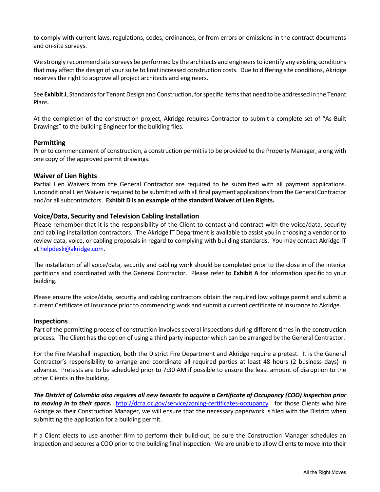to comply with current laws, regulations, codes, ordinances, or from errors or omissions in the contract documents and on‐site surveys.

We strongly recommend site surveys be performed by the architects and engineers to identify any existing conditions that may affect the design of your suite to limit increased construction costs. Due to differing site conditions, Akridge reserves the right to approve all project architects and engineers.

See **Exhibit J**, Standards for Tenant Design and Construction, for specific items that need to be addressed in the Tenant Plans.

At the completion of the construction project, Akridge requires Contractor to submit a complete set of "As Built Drawings" to the building Engineer for the building files.

#### **Permitting**

Prior to commencement of construction, a construction permit is to be provided to the Property Manager, along with one copy of the approved permit drawings.

#### **Waiver of Lien Rights**

Partial Lien Waivers from the General Contractor are required to be submitted with all payment applications. Unconditional Lien Waiver is required to be submitted with all final payment applications from the General Contractor and/or all subcontractors. **Exhibit D is an example of the standard Waiver of Lien Rights.** 

#### **Voice/Data, Security and Television Cabling Installation**

Please remember that it is the responsibility of the Client to contact and contract with the voice/data, security and cabling installation contractors. The Akridge IT Department is available to assist you in choosing a vendor or to review data, voice, or cabling proposals in regard to complying with building standards. You may contact Akridge IT at helpdesk@akridge.com.

The installation of all voice/data, security and cabling work should be completed prior to the close in of the interior partitions and coordinated with the General Contractor. Please refer to **Exhibit A** for information specific to your building.

Please ensure the voice/data, security and cabling contractors obtain the required low voltage permit and submit a current Certificate of Insurance prior to commencing work and submit a current certificate of insurance to Akridge.

#### **Inspections**

Part of the permitting process of construction involves several inspections during different times in the construction process. The Client has the option of using a third party inspector which can be arranged by the General Contractor.

For the Fire Marshall Inspection, both the District Fire Department and Akridge require a pretest. It is the General Contractor's responsibility to arrange and coordinate all required parties at least 48 hours (2 business days) in advance. Pretests are to be scheduled prior to 7:30 AM if possible to ensure the least amount of disruption to the other Clients in the building.

*The District of Columbia also requires all new tenants to acquire a Certificate of Occupancy (COO) inspection prior*  **to moving in to their space.** http://dcra.dc.gov/service/zoning-certificates-occupancy for those Clients who hire Akridge as their Construction Manager, we will ensure that the necessary paperwork is filed with the District when submitting the application for a building permit.

If a Client elects to use another firm to perform their build‐out, be sure the Construction Manager schedules an inspection and secures a COO prior to the building final inspection. We are unable to allow Clients to move into their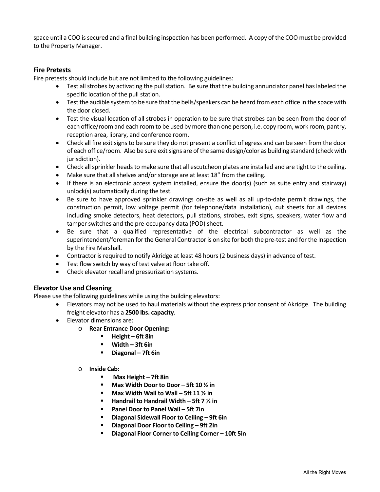space until a COO is secured and a final building inspection has been performed. A copy of the COO must be provided to the Property Manager.

#### **Fire Pretests**

Fire pretests should include but are not limited to the following guidelines:

- Test all strobes by activating the pull station. Be sure that the building annunciator panel has labeled the specific location of the pull station.
- Test the audible system to be sure that the bells/speakers can be heard from each office in the space with the door closed.
- Test the visual location of all strobes in operation to be sure that strobes can be seen from the door of each office/room and each room to be used by more than one person, i.e. copy room, work room, pantry, reception area, library, and conference room.
- Check all fire exit signs to be sure they do not present a conflict of egress and can be seen from the door of each office/room. Also be sure exit signs are of the same design/color as building standard (check with jurisdiction).
- Check all sprinkler heads to make sure that all escutcheon plates are installed and are tight to the ceiling.
- Make sure that all shelves and/or storage are at least 18" from the ceiling.
- $\bullet$  If there is an electronic access system installed, ensure the door(s) (such as suite entry and stairway) unlock(s) automatically during the test.
- Be sure to have approved sprinkler drawings on-site as well as all up-to-date permit drawings, the construction permit, low voltage permit (for telephone/data installation), cut sheets for all devices including smoke detectors, heat detectors, pull stations, strobes, exit signs, speakers, water flow and tamper switches and the pre‐occupancy data (POD) sheet.
- Be sure that a qualified representative of the electrical subcontractor as well as the superintendent/foreman for the General Contractor is on site for both the pre-test and for the Inspection by the Fire Marshall.
- Contractor is required to notify Akridge at least 48 hours (2 business days) in advance of test.
- Test flow switch by way of test valve at floor take off.
- Check elevator recall and pressurization systems.

#### **Elevator Use and Cleaning**

Please use the following guidelines while using the building elevators:

- Elevators may not be used to haul materials without the express prior consent of Akridge. The building freight elevator has a **2500 lbs. capacity**.
- Elevator dimensions are:
	- o **Rear Entrance Door Opening:** 
		- **Height 6ft 8in**
		- **Width 3ft 6in**
		- **Diagonal 7ft 6in**
	- o **Inside Cab:** 
		- **Max Height 7ft 8in**
		- **Max Width Door to Door 5ft 10 ½ in**
		- **Max Width Wall to Wall 5ft 11 ½ in**
		- **Handrail to Handrail Width 5ft 7 ½ in**
		- **Panel Door to Panel Wall 5ft 7in**
		- **Diagonal Sidewall Floor to Ceiling 9ft 6in**
		- **Diagonal Door Floor to Ceiling 9ft 2in**
		- **Diagonal Floor Corner to Ceiling Corner 10ft 5in**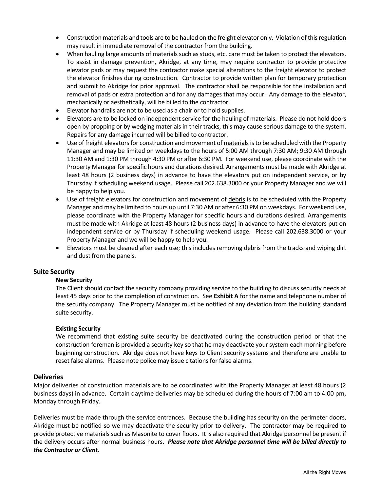- Construction materials and tools are to be hauled on the freight elevator only. Violation of this regulation may result in immediate removal of the contractor from the building.
- When hauling large amounts of materials such as studs, etc. care must be taken to protect the elevators. To assist in damage prevention, Akridge, at any time, may require contractor to provide protective elevator pads or may request the contractor make special alterations to the freight elevator to protect the elevator finishes during construction. Contractor to provide written plan for temporary protection and submit to Akridge for prior approval. The contractor shall be responsible for the installation and removal of pads or extra protection and for any damages that may occur. Any damage to the elevator, mechanically or aesthetically, will be billed to the contractor.
- Elevator handrails are not to be used as a chair or to hold supplies.
- Elevators are to be locked on independent service for the hauling of materials. Please do not hold doors open by propping or by wedging materials in their tracks, this may cause serious damage to the system. Repairs for any damage incurred will be billed to contractor.
- Use of freight elevators for construction and movement of materials is to be scheduled with the Property Manager and may be limited on weekdays to the hours of 5:00 AM through 7:30 AM; 9:30 AM through 11:30 AM and 1:30 PM through 4:30 PM or after 6:30 PM. For weekend use, please coordinate with the Property Manager for specific hours and durations desired. Arrangements must be made with Akridge at least 48 hours (2 business days) in advance to have the elevators put on independent service, or by Thursday if scheduling weekend usage. Please call 202.638.3000 or your Property Manager and we will be happy to help you.
- Use of freight elevators for construction and movement of debris is to be scheduled with the Property Manager and may be limited to hours up until 7:30 AM or after 6:30 PM on weekdays. For weekend use, please coordinate with the Property Manager for specific hours and durations desired. Arrangements must be made with Akridge at least 48 hours (2 business days) in advance to have the elevators put on independent service or by Thursday if scheduling weekend usage. Please call 202.638.3000 or your Property Manager and we will be happy to help you.
- Elevators must be cleaned after each use; this includes removing debris from the tracks and wiping dirt and dust from the panels.

#### **Suite Security**

#### **New Security**

The Client should contact the security company providing service to the building to discuss security needs at least 45 days prior to the completion of construction. See **Exhibit A** for the name and telephone number of the security company. The Property Manager must be notified of any deviation from the building standard suite security.

#### **Existing Security**

We recommend that existing suite security be deactivated during the construction period or that the construction foreman is provided a security key so that he may deactivate your system each morning before beginning construction. Akridge does not have keys to Client security systems and therefore are unable to reset false alarms. Please note police may issue citations for false alarms.

#### **Deliveries**

Major deliveries of construction materials are to be coordinated with the Property Manager at least 48 hours (2 business days) in advance. Certain daytime deliveries may be scheduled during the hours of 7:00 am to 4:00 pm, Monday through Friday.

 Deliveries must be made through the service entrances. Because the building has security on the perimeter doors, Akridge must be notified so we may deactivate the security prior to delivery. The contractor may be required to provide protective materials such as Masonite to cover floors. It is also required that Akridge personnel be present if the delivery occurs after normal business hours. *Please note that Akridge personnel time will be billed directly to the Contractor or Client.*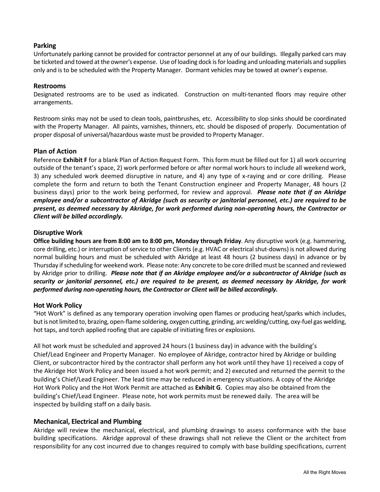#### **Parking**

Unfortunately parking cannot be provided for contractor personnel at any of our buildings. Illegally parked cars may be ticketed and towed at the owner's expense. Use of loading dock is for loading and unloading materials and supplies only and is to be scheduled with the Property Manager. Dormant vehicles may be towed at owner's expense.

#### **Restrooms**

Designated restrooms are to be used as indicated. Construction on multi-tenanted floors may require other arrangements.

Restroom sinks may not be used to clean tools, paintbrushes, etc. Accessibility to slop sinks should be coordinated with the Property Manager. All paints, varnishes, thinners, etc. should be disposed of properly. Documentation of proper disposal of universal/hazardous waste must be provided to Property Manager.

#### **Plan of Action**

Reference **Exhibit F** for a blank Plan of Action Request Form. This form must be filled out for 1) all work occurring outside of the tenant's space, 2) work performed before or after normal work hours to include all weekend work, 3) any scheduled work deemed disruptive in nature, and 4) any type of x-raying and or core drilling. Please complete the form and return to both the Tenant Construction engineer and Property Manager, 48 hours (2 business days) prior to the work being performed, for review and approval. *Please note that if an Akridge employee and/or a subcontractor of Akridge (such as security or janitorial personnel, etc.) are required to be present, as deemed necessary by Akridge, for work performed during non‐operating hours, the Contractor or Client will be billed accordingly.* 

#### **Disruptive Work**

**Office building hours are from 8:00 am to 8:00 pm, Monday through Friday**. Any disruptive work (e.g. hammering, core drilling, etc.) or interruption of service to other Clients (e.g. HVAC or electrical shut-downs) is not allowed during normal building hours and must be scheduled with Akridge at least 48 hours (2 business days) in advance or by Thursday if scheduling for weekend work. Please note: Any concrete to be core drilled must be scanned and reviewed by Akridge prior to drilling. *Please note that if an Akridge employee and/or a subcontractor of Akridge (such as security or janitorial personnel, etc.) are required to be present, as deemed necessary by Akridge, for work performed during non‐operating hours, the Contractor or Client will be billed accordingly.*

#### **Hot Work Policy**

"Hot Work" is defined as any temporary operation involving open flames or producing heat/sparks which includes, but is not limited to, brazing, open‐flame soldering, oxygen cutting, grinding, arc welding/cutting, oxy‐fuel gas welding, hot taps, and torch applied roofing that are capable of initiating fires or explosions.

All hot work must be scheduled and approved 24 hours (1 business day) in advance with the building's Chief/Lead Engineer and Property Manager. No employee of Akridge, contractor hired by Akridge or building Client, or subcontractor hired by the contractor shall perform any hot work until they have 1) received a copy of the Akridge Hot Work Policy and been issued a hot work permit; and 2) executed and returned the permit to the building's Chief/Lead Engineer. The lead time may be reduced in emergency situations. A copy of the Akridge Hot Work Policy and the Hot Work Permit are attached as **Exhibit G**. Copies may also be obtained from the building's Chief/Lead Engineer. Please note, hot work permits must be renewed daily. The area will be inspected by building staff on a daily basis.

#### **Mechanical, Electrical and Plumbing**

Akridge will review the mechanical, electrical, and plumbing drawings to assess conformance with the base building specifications. Akridge approval of these drawings shall not relieve the Client or the architect from responsibility for any cost incurred due to changes required to comply with base building specifications, current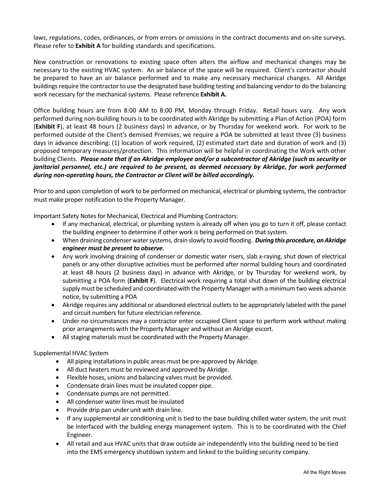laws, regulations, codes, ordinances, or from errors or omissions in the contract documents and on‐site surveys. Please refer to **Exhibit A** for building standards and specifications.

New construction or renovations to existing space often alters the airflow and mechanical changes may be necessary to the existing HVAC system. An air balance of the space will be required. Client's contractor should be prepared to have an air balance performed and to make any necessary mechanical changes. All Akridge buildings require the contractor to use the designated base building testing and balancing vendor to do the balancing work necessary for the mechanical systems. Please reference **Exhibit A.** 

Office building hours are from 8:00 AM to 8:00 PM, Monday through Friday. Retail hours vary. Any work performed during non‐building hours is to be coordinated with Akridge by submitting a Plan of Action (POA) form (**Exhibit F**), at least 48 hours (2 business days) in advance, or by Thursday for weekend work. For work to be performed outside of the Client's demised Premises, we require a POA be submitted at least three (3) business days in advance describing: (1) location of work required, (2) estimated start date and duration of work and (3) proposed temporary measures/protection. This information will be helpful in coordinating the Work with other building Clients. *Please note that if an Akridge employee and/or a subcontractor of Akridge (such as security or janitorial personnel, etc.) are required to be present, as deemed necessary by Akridge, for work performed during non‐operating hours, the Contractor or Client will be billed accordingly.* 

Prior to and upon completion of work to be performed on mechanical, electrical or plumbing systems, the contractor must make proper notification to the Property Manager.

Important Safety Notes for Mechanical, Electrical and Plumbing Contractors:

- If any mechanical, electrical, or plumbing system is already off when you go to turn it off, please contact the building engineer to determine if other work is being performed on that system.
- When draining condenser water systems, drain slowly to avoid flooding. *During this procedure, an Akridge engineer must be present to observe.*
- Any work involving draining of condenser or domestic water risers, slab x-raying, shut down of electrical panels or any other disruptive activities must be performed after normal building hours and coordinated at least 48 hours (2 business days) in advance with Akridge, or by Thursday for weekend work, by submitting a POA form (**Exhibit F**). Electrical work requiring a total shut down of the building electrical supply must be scheduled and coordinated with the Property Manager with a minimum two week advance notice, by submitting a POA
- Akridge requires any additional or abandoned electrical outlets to be appropriately labeled with the panel and circuit numbers for future electrician reference.
- Under no circumstances may a contractor enter occupied Client space to perform work without making prior arrangements with the Property Manager and without an Akridge escort.
- All staging materials must be coordinated with the Property Manager.

#### Supplemental HVAC System

- All piping installations in public areas must be pre-approved by Akridge.
- All duct heaters must be reviewed and approved by Akridge.
- Flexible hoses, unions and balancing valves must be provided.
- Condensate drain lines must be insulated copper pipe.
- Condensate pumps are not permitted.
- All condenser water lines must be insulated
- Provide drip pan under unit with drain line.
- If any supplemental air conditioning unit is tied to the base building chilled water system, the unit must be interfaced with the building energy management system. This is to be coordinated with the Chief Engineer.
- All retail and aux HVAC units that draw outside air independently into the building need to be tied into the EMS emergency shutdown system and linked to the building security company.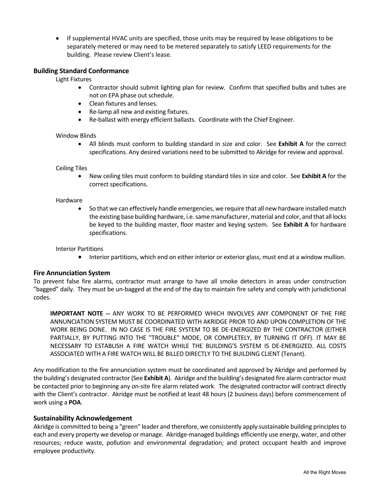If supplemental HVAC units are specified, those units may be required by lease obligations to be separately metered or may need to be metered separately to satisfy LEED requirements for the building. Please review Client's lease.

#### **Building Standard Conformance**

Light Fixtures

- Contractor should submit lighting plan for review. Confirm that specified bulbs and tubes are not on EPA phase out schedule.
- Clean fixtures and lenses.
- Re‐lamp all new and existing fixtures.
- Re-ballast with energy efficient ballasts. Coordinate with the Chief Engineer.

#### Window Blinds

• All blinds must conform to building standard in size and color. See Exhibit A for the correct specifications. Any desired variations need to be submitted to Akridge for review and approval.

#### Ceiling Tiles

 New ceiling tiles must conform to building standard tiles in size and color. See **Exhibit A** for the correct specifications.

#### Hardware

 So that we can effectively handle emergencies, we require that all new hardware installed match the existing base building hardware, i.e. same manufacturer, material and color, and that all locks be keyed to the building master, floor master and keying system. See **Exhibit A** for hardware specifications.

#### Interior Partitions

Interior partitions, which end on either interior or exterior glass, must end at a window mullion.

#### **Fire Annunciation System**

To prevent false fire alarms, contractor must arrange to have all smoke detectors in areas under construction "bagged" daily. They must be un‐bagged at the end of the day to maintain fire safety and comply with jurisdictional codes.

**IMPORTANT NOTE -- ANY WORK TO BE PERFORMED WHICH INVOLVES ANY COMPONENT OF THE FIRE** ANNUNCIATION SYSTEM MUST BE COORDINATED WITH AKRIDGE PRIOR TO AND UPON COMPLETION OF THE WORK BEING DONE. IN NO CASE IS THE FIRE SYSTEM TO BE DE‐ENERGIZED BY THE CONTRACTOR (EITHER PARTIALLY, BY PUTTING INTO THE "TROUBLE" MODE, OR COMPLETELY, BY TURNING IT OFF). IT MAY BE NECESSARY TO ESTABLISH A FIRE WATCH WHILE THE BUILDING'S SYSTEM IS DE‐ENERGIZED. ALL COSTS ASSOCIATED WITH A FIRE WATCH WILL BE BILLED DIRECTLY TO THE BUILDING CLIENT (Tenant).

Any modification to the fire annunciation system must be coordinated and approved by Akridge and performed by the building's designated contractor (See **Exhibit A**). Akridge and the building's designated fire alarm contractor must be contacted prior to beginning any on‐site fire alarm related work.The designated contractor will contract directly with the Client's contractor. Akridge must be notified at least 48 hours (2 business days) before commencement of work using a **POA**.

#### **Sustainability Acknowledgement**

Akridge is committed to being a "green" leader and therefore, we consistently apply sustainable building principles to each and every property we develop or manage. Akridge-managed buildings efficiently use energy, water, and other resources; reduce waste, pollution and environmental degradation; and protect occupant health and improve employee productivity.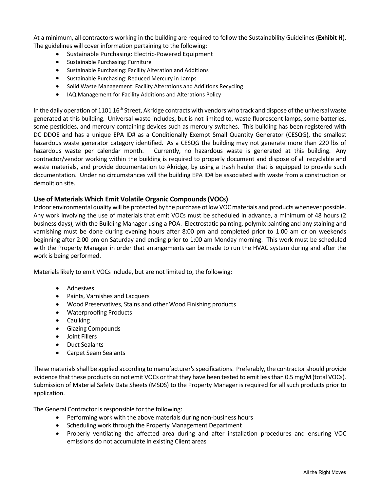At a minimum, all contractors working in the building are required to follow the Sustainability Guidelines (**Exhibit H**). The guidelines will cover information pertaining to the following:

- Sustainable Purchasing: Electric-Powered Equipment
- Sustainable Purchasing: Furniture
- Sustainable Purchasing: Facility Alteration and Additions
- Sustainable Purchasing: Reduced Mercury in Lamps
- Solid Waste Management: Facility Alterations and Additions Recycling
- IAQ Management for Facility Additions and Alterations Policy

In the daily operation of 1101  $16^{th}$  Street, Akridge contracts with vendors who track and dispose of the universal waste generated at this building. Universal waste includes, but is not limited to, waste fluorescent lamps, some batteries, some pesticides, and mercury containing devices such as mercury switches. This building has been registered with DC DDOE and has a unique EPA ID# as a Conditionally Exempt Small Quantity Generator (CESQG), the smallest hazardous waste generator category identified. As a CESQG the building may not generate more than 220 lbs of hazardous waste per calendar month. Currently, no hazardous waste is generated at this building. Any contractor/vendor working within the building is required to properly document and dispose of all recyclable and waste materials, and provide documentation to Akridge, by using a trash hauler that is equipped to provide such documentation. Under no circumstances will the building EPA ID# be associated with waste from a construction or demolition site.

#### **Use of Materials Which Emit Volatile Organic Compounds (VOCs)**

Indoor environmental quality will be protected by the purchase of low VOC materials and products whenever possible. Any work involving the use of materials that emit VOCs must be scheduled in advance, a minimum of 48 hours (2 business days), with the Building Manager using a POA. Electrostatic painting, polymix painting and any staining and varnishing must be done during evening hours after 8:00 pm and completed prior to 1:00 am or on weekends beginning after 2:00 pm on Saturday and ending prior to 1:00 am Monday morning.This work must be scheduled with the Property Manager in order that arrangements can be made to run the HVAC system during and after the work is being performed.

Materials likely to emit VOCs include, but are not limited to, the following:

- Adhesives
- Paints, Varnishes and Lacquers
- Wood Preservatives, Stains and other Wood Finishing products
- Waterproofing Products
- Caulking
- **•** Glazing Compounds
- Joint Fillers
- Duct Sealants
- Carpet Seam Sealants

These materials shall be applied according to manufacturer's specifications. Preferably, the contractor should provide evidence that these products do not emit VOCs or that they have been tested to emit less than 0.5 mg/M (total VOCs). Submission of Material Safety Data Sheets (MSDS) to the Property Manager is required for all such products prior to application.

The General Contractor is responsible for the following:

- Performing work with the above materials during non-business hours
- Scheduling work through the Property Management Department
- Properly ventilating the affected area during and after installation procedures and ensuring VOC emissions do not accumulate in existing Client areas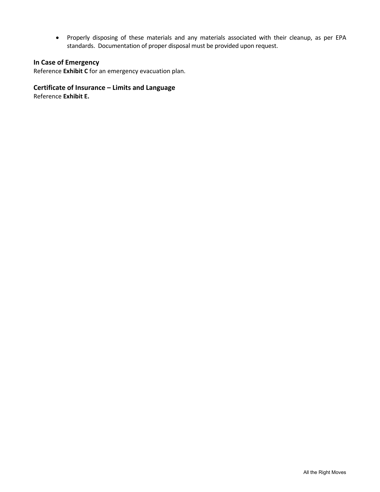Properly disposing of these materials and any materials associated with their cleanup, as per EPA standards. Documentation of proper disposal must be provided upon request.

### **In Case of Emergency**

Reference **Exhibit C** for an emergency evacuation plan.

### **Certificate of Insurance – Limits and Language**

Reference **Exhibit E.**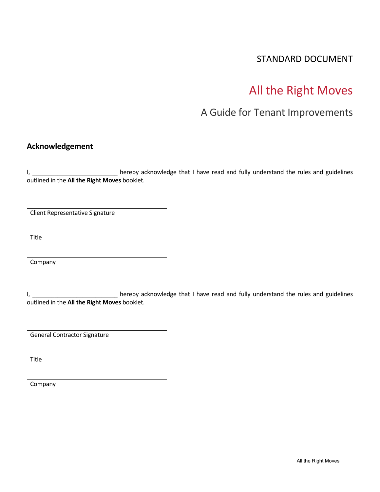### STANDARD DOCUMENT

## All the Right Moves

### A Guide for Tenant Improvements

### **Acknowledgement**

I, \_\_\_\_\_\_\_\_\_\_\_\_\_\_\_\_\_\_\_\_\_\_\_\_\_\_\_\_\_\_\_\_ hereby acknowledge that I have read and fully understand the rules and guidelines outlined in the **All the Right Moves** booklet.

Client Representative Signature

Title

Company

I, **I** and the reby acknowledge that I have read and fully understand the rules and guidelines outlined in the **All the Right Moves** booklet.

General Contractor Signature

Title

Company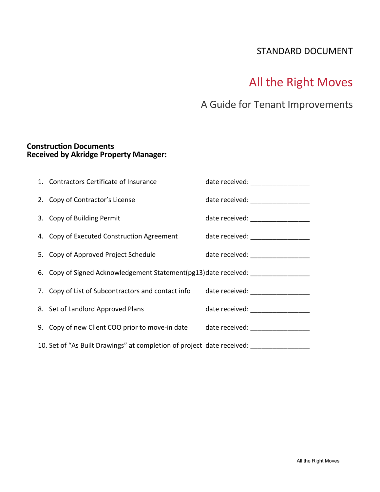### STANDARD DOCUMENT

# All the Right Moves

## A Guide for Tenant Improvements

### **Construction Documents Received by Akridge Property Manager:**

| 1. Contractors Certificate of Insurance                                                              | date received: _________________   |
|------------------------------------------------------------------------------------------------------|------------------------------------|
| 2. Copy of Contractor's License                                                                      | date received: ___________________ |
| 3. Copy of Building Permit                                                                           | date received: ___________________ |
| 4. Copy of Executed Construction Agreement date received: _________________                          |                                    |
| 5. Copy of Approved Project Schedule                                                                 | date received: __________________  |
| 6. Copy of Signed Acknowledgement Statement(pg13)date received:                                      |                                    |
| 7. Copy of List of Subcontractors and contact info date received: 1.1.1.1.1.1.1.1.1.1.1.1.1.1.1.1.1. |                                    |
| 8. Set of Landlord Approved Plans                                                                    | date received: ___________________ |
| 9. Copy of new Client COO prior to move-in date date received: _________________                     |                                    |
| 10. Set of "As Built Drawings" at completion of project date received:                               |                                    |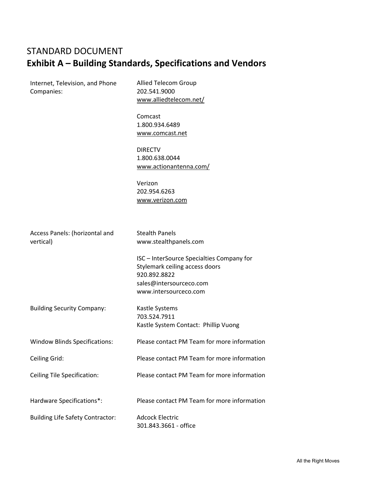## STANDARD DOCUMENT **Exhibit A – Building Standards, Specifications and Vendors**

| Internet, Television, and Phone<br>Companies: | Allied Telecom Group<br>202.541.9000<br>www.alliedtelecom.net/                                                                                  |  |  |
|-----------------------------------------------|-------------------------------------------------------------------------------------------------------------------------------------------------|--|--|
|                                               | Comcast<br>1.800.934.6489<br>www.comcast.net                                                                                                    |  |  |
|                                               | <b>DIRECTV</b><br>1.800.638.0044<br>www.actionantenna.com/                                                                                      |  |  |
|                                               | Verizon<br>202.954.6263<br>www.verizon.com                                                                                                      |  |  |
| Access Panels: (horizontal and<br>vertical)   | <b>Stealth Panels</b><br>www.stealthpanels.com                                                                                                  |  |  |
|                                               | ISC - InterSource Specialties Company for<br>Stylemark ceiling access doors<br>920.892.8822<br>sales@intersourceco.com<br>www.intersourceco.com |  |  |
| <b>Building Security Company:</b>             | Kastle Systems<br>703.524.7911<br>Kastle System Contact: Phillip Vuong                                                                          |  |  |
| <b>Window Blinds Specifications:</b>          | Please contact PM Team for more information                                                                                                     |  |  |
| Ceiling Grid:                                 | Please contact PM Team for more information                                                                                                     |  |  |
| <b>Ceiling Tile Specification:</b>            | Please contact PM Team for more information                                                                                                     |  |  |
| Hardware Specifications*:                     | Please contact PM Team for more information                                                                                                     |  |  |
| <b>Building Life Safety Contractor:</b>       | <b>Adcock Electric</b><br>301.843.3661 - office                                                                                                 |  |  |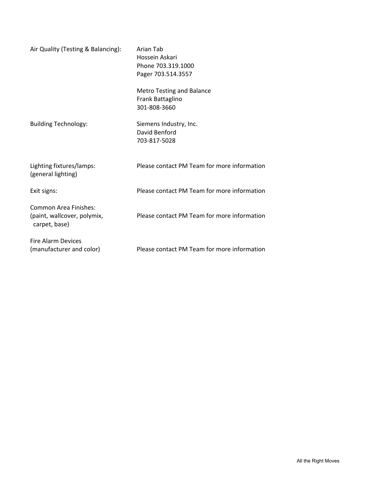| Air Quality (Testing & Balancing):                                    | Arian Tab<br>Hossein Askari<br>Phone 703.319.1000<br>Pager 703.514.3557 |
|-----------------------------------------------------------------------|-------------------------------------------------------------------------|
|                                                                       | <b>Metro Testing and Balance</b><br>Frank Battaglino<br>301-808-3660    |
| <b>Building Technology:</b>                                           | Siemens Industry, Inc.<br>David Benford<br>703-817-5028                 |
| Lighting fixtures/lamps:<br>(general lighting)                        | Please contact PM Team for more information                             |
| Exit signs:                                                           | Please contact PM Team for more information                             |
| Common Area Finishes:<br>(paint, wallcover, polymix,<br>carpet, base) | Please contact PM Team for more information                             |
| <b>Fire Alarm Devices</b><br>(manufacturer and color)                 | Please contact PM Team for more information                             |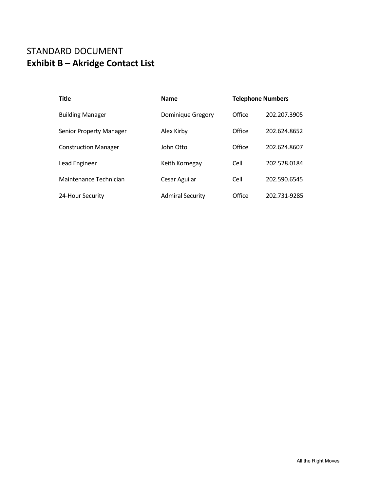### STANDARD DOCUMENT **Exhibit B – Akridge Contact List**

| <b>Title</b>                | <b>Name</b>             | <b>Telephone Numbers</b> |              |
|-----------------------------|-------------------------|--------------------------|--------------|
| <b>Building Manager</b>     | Dominique Gregory       | Office                   | 202.207.3905 |
| Senior Property Manager     | Alex Kirby              | Office                   | 202.624.8652 |
| <b>Construction Manager</b> | John Otto               | Office                   | 202.624.8607 |
| Lead Engineer               | Keith Kornegay          | Cell                     | 202.528.0184 |
| Maintenance Technician      | Cesar Aguilar           | Cell                     | 202.590.6545 |
| 24-Hour Security            | <b>Admiral Security</b> | Office                   | 202.731-9285 |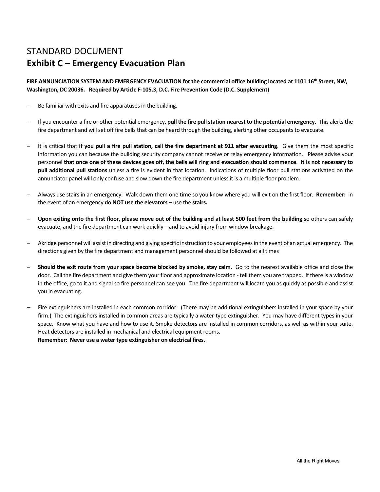## STANDARD DOCUMENT **Exhibit C – Emergency Evacuation Plan**

FIRE ANNUNCIATION SYSTEM AND EMERGENCY EVACUATION for the commercial office building located at 1101 16<sup>th</sup> Street, NW, **Washington, DC 20036. Required by Article F‐105.3, D.C. Fire Prevention Code (D.C. Supplement)** 

- $-$  Be familiar with exits and fire apparatuses in the building.
- If you encounter a fire or other potential emergency, **pull the fire pull station nearest to the potential emergency.**  This alerts the fire department and will set off fire bells that can be heard through the building, alerting other occupants to evacuate.
- It is critical that **if you pull a fire pull station, call the fire department at 911 after evacuating**. Give them the most specific information you can because the building security company cannot receive or relay emergency information. Please advise your personnel **that once one of these devices goes off, the bells will ring and evacuation should commence**. **It is not necessary to pull additional pull stations** unless a fire is evident in that location. Indications of multiple floor pull stations activated on the annunciator panel will only confuse and slow down the fire department unless it is a multiple floor problem.
- Always use stairs in an emergency. Walk down them one time so you know where you will exit on the first floor. **Remember:** in the event of an emergency **do NOT use the elevators** – use the **stairs.**
- **Upon exiting onto the first floor, please move out of the building and at least 500 feet from the building** so others can safely evacuate, and the fire department can work quickly—and to avoid injury from window breakage.
- Akridge personnel will assist in directing and giving specific instruction to your employees in the event of an actual emergency. The directions given by the fire department and management personnel should be followed at all times
- **Should the exit route from your space become blocked by smoke, stay calm.** Go to the nearest available office and close the door. Call the fire department and give them your floor and approximate location ‐ tell them you are trapped. If there is a window in the office, go to it and signal so fire personnel can see you. The fire department will locate you as quickly as possible and assist you in evacuating.
- Fire extinguishers are installed in each common corridor. (There may be additional extinguishers installed in your space by your firm.) The extinguishers installed in common areas are typically a water-type extinguisher. You may have different types in your space. Know what you have and how to use it. Smoke detectors are installed in common corridors, as well as within your suite. Heat detectors are installed in mechanical and electrical equipment rooms.

**Remember: Never use a water type extinguisher on electrical fires.**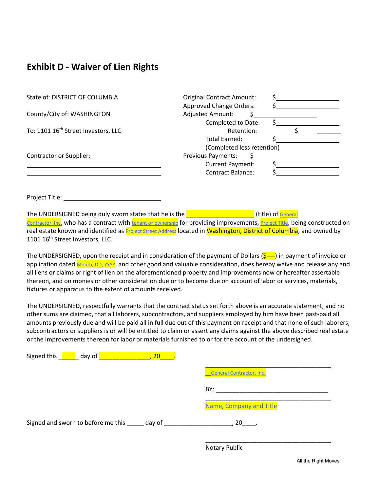### **Exhibit D ‐ Waiver of Lien Rights**

| State of: DISTRICT OF COLUMBIA                  | <b>Original Contract Amount:</b> |
|-------------------------------------------------|----------------------------------|
|                                                 | <b>Approved Change Orders:</b>   |
| County/City of: WASHINGTON                      | <b>Adjusted Amount:</b>          |
|                                                 | Completed to Date:               |
| To: 1101 16 <sup>th</sup> Street Investors, LLC | Retention:                       |
|                                                 | Total Earned:                    |
|                                                 | (Completed less retention)       |
| <b>Contractor or Supplier:</b>                  | <b>Previous Payments:</b>        |
|                                                 | Current Payment:                 |
|                                                 | <b>Contract Balance:</b>         |

Project Title:

The UNDERSIGNED being duly sworn states that he is the  $\Box$ Contractor, Inc. who has a contract with tenant or ownership for providing improvements, Project Title, being constructed on real estate known and identified as **Project Street Address** located in Washington, District of Columbia, and owned by 1101 16<sup>th</sup> Street Investors, LLC.

The UNDERSIGNED, upon the receipt and in consideration of the payment of Dollars ( $\frac{1}{2}$ ——) in payment of invoice or application dated Month, DD, YYYY, and other good and valuable consideration, does hereby waive and release any and all liens or claims or right of lien on the aforementioned property and improvements now or hereafter assertable thereon, and on monies or other consideration due or to become due on account of labor or services, materials, fixtures or apparatus to the extent of amounts received.

The UNDERSIGNED, respectfully warrants that the contract status set forth above is an accurate statement, and no other sums are claimed, that all laborers, subcontractors, and suppliers employed by him have been past‐paid all amounts previously due and will be paid all in full due out of this payment on receipt and that none of such laborers, subcontractors or suppliers is or will be entitled to claim or assert any claims against the above described real estate or the improvements thereon for labor or materials furnished to or for the account of the undersigned.

| Signed this come day of                          | 20 |                                 |
|--------------------------------------------------|----|---------------------------------|
|                                                  |    | <b>General Contractor, Inc.</b> |
|                                                  |    | BY:                             |
|                                                  |    | Name, Company and Title         |
| Signed and sworn to before me this ______ day of |    | 20 .                            |
|                                                  |    |                                 |

Notary Public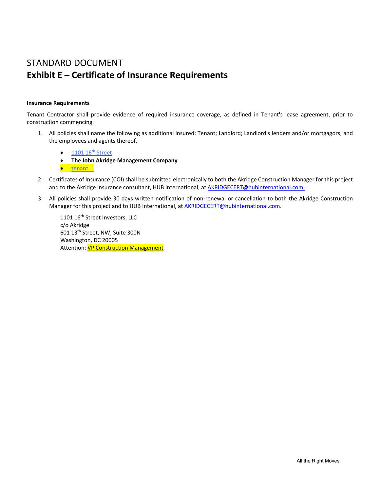### STANDARD DOCUMENT **Exhibit E – Certificate of Insurance Requirements**

#### **Insurance Requirements**

Tenant Contractor shall provide evidence of required insurance coverage, as defined in Tenant's lease agreement, prior to construction commencing.

- 1. All policies shall name the following as additional insured: Tenant; Landlord; Landlord's lenders and/or mortgagors; and the employees and agents thereof.
	- 1101 16<sup>th</sup> Street
	- **The John Akridge Management Company**
	- tenant
- 2. Certificates of Insurance (COI) shall be submitted electronically to both the Akridge Construction Manager for this project and to the Akridge insurance consultant, HUB International, at AKRIDGECERT@hubinternational.com.
- 3. All policies shall provide 30 days written notification of non-renewal or cancellation to both the Akridge Construction Manager for this project and to HUB International, at AKRIDGECERT@hubinternational.com.

1101 16<sup>th</sup> Street Investors, LLC c/o Akridge 601 13th Street, NW, Suite 300N Washington, DC 20005 Attention: **VP Construction Management**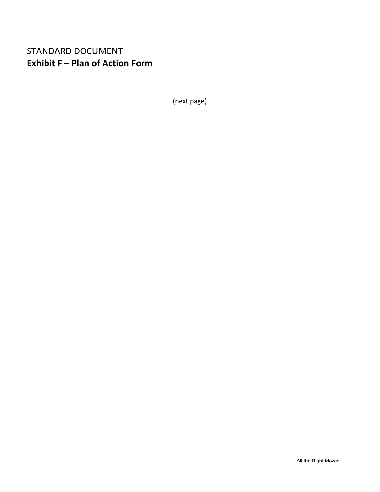### STANDARD DOCUMENT **Exhibit F – Plan of Action Form**

(next page)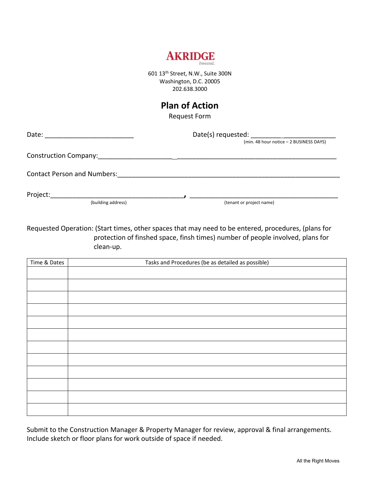

601 13th Street, N.W., Suite 300N Washington, D.C. 20005 202.638.3000

### **Plan of Action**

Request Form

| Date:                              |                                         |  |
|------------------------------------|-----------------------------------------|--|
|                                    | (min. 48 hour notice - 2 BUSINESS DAYS) |  |
|                                    |                                         |  |
| <b>Contact Person and Numbers:</b> |                                         |  |
| Project:                           |                                         |  |

(building address)  $($ tenant or project name)

Requested Operation: (Start times, other spaces that may need to be entered, procedures, (plans for protection of finshed space, finsh times) number of people involved, plans for clean‐up.

| Time & Dates | Tasks and Procedures (be as detailed as possible) |
|--------------|---------------------------------------------------|
|              |                                                   |
|              |                                                   |
|              |                                                   |
|              |                                                   |
|              |                                                   |
|              |                                                   |
|              |                                                   |
|              |                                                   |
|              |                                                   |
|              |                                                   |
|              |                                                   |
|              |                                                   |

Submit to the Construction Manager & Property Manager for review, approval & final arrangements. Include sketch or floor plans for work outside of space if needed.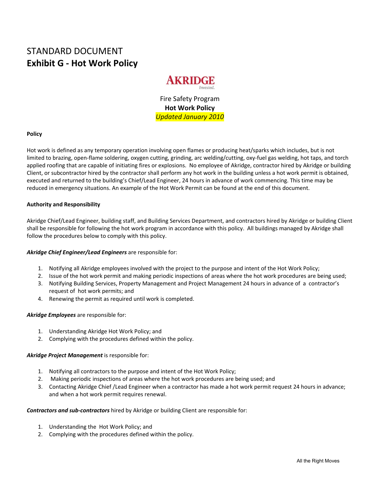### STANDARD DOCUMENT **Exhibit G ‐ Hot Work Policy**



Fire Safety Program **Hot Work Policy**  *Updated January 2010* 

#### **Policy**

Hot work is defined as any temporary operation involving open flames or producing heat/sparks which includes, but is not limited to brazing, open‐flame soldering, oxygen cutting, grinding, arc welding/cutting, oxy‐fuel gas welding, hot taps, and torch applied roofing that are capable of initiating fires or explosions. No employee of Akridge, contractor hired by Akridge or building Client, or subcontractor hired by the contractor shall perform any hot work in the building unless a hot work permit is obtained, executed and returned to the building's Chief/Lead Engineer, 24 hours in advance of work commencing. This time may be reduced in emergency situations. An example of the Hot Work Permit can be found at the end of this document.

#### **Authority and Responsibility**

Akridge Chief/Lead Engineer, building staff, and Building Services Department, and contractors hired by Akridge or building Client shall be responsible for following the hot work program in accordance with this policy. All buildings managed by Akridge shall follow the procedures below to comply with this policy.

#### *Akridge Chief Engineer/Lead Engineers* are responsible for:

- 1. Notifying all Akridge employees involved with the project to the purpose and intent of the Hot Work Policy;
- 2. Issue of the hot work permit and making periodic inspections of areas where the hot work procedures are being used;
- 3. Notifying Building Services, Property Management and Project Management 24 hours in advance of a contractor's request of hot work permits; and
- 4. Renewing the permit as required until work is completed.

#### *Akridge Employees* are responsible for:

- 1. Understanding Akridge Hot Work Policy; and
- 2. Complying with the procedures defined within the policy.

#### *Akridge Project Management* is responsible for:

- 1. Notifying all contractors to the purpose and intent of the Hot Work Policy;
- 2. Making periodic inspections of areas where the hot work procedures are being used; and
- 3. Contacting Akridge Chief /Lead Engineer when a contractor has made a hot work permit request 24 hours in advance; and when a hot work permit requires renewal.

#### *Contractors and sub‐contractors* hired by Akridge or building Client are responsible for:

- 1. Understanding the Hot Work Policy; and
- 2. Complying with the procedures defined within the policy.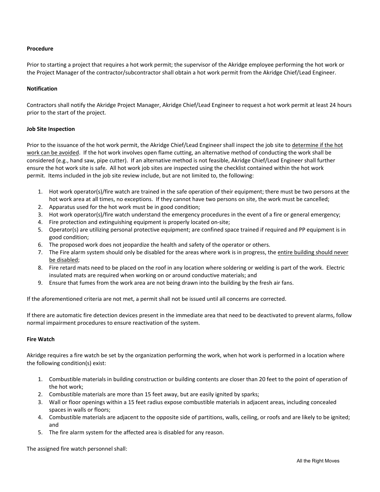#### **Procedure**

Prior to starting a project that requires a hot work permit; the supervisor of the Akridge employee performing the hot work or the Project Manager of the contractor/subcontractor shall obtain a hot work permit from the Akridge Chief/Lead Engineer.

#### **Notification**

Contractors shall notify the Akridge Project Manager, Akridge Chief/Lead Engineer to request a hot work permit at least 24 hours prior to the start of the project.

#### **Job Site Inspection**

Prior to the issuance of the hot work permit, the Akridge Chief/Lead Engineer shall inspect the job site to determine if the hot work can be avoided. If the hot work involves open flame cutting, an alternative method of conducting the work shall be considered (e.g., hand saw, pipe cutter). If an alternative method is not feasible, Akridge Chief/Lead Engineer shall further ensure the hot work site is safe. All hot work job sites are inspected using the checklist contained within the hot work permit. Items included in the job site review include, but are not limited to, the following:

- 1. Hot work operator(s)/fire watch are trained in the safe operation of their equipment; there must be two persons at the hot work area at all times, no exceptions. If they cannot have two persons on site, the work must be cancelled;
- 2. Apparatus used for the hot work must be in good condition;
- 3. Hot work operator(s)/fire watch understand the emergency procedures in the event of a fire or general emergency;
- 4. Fire protection and extinguishing equipment is properly located on-site;
- 5. Operator(s) are utilizing personal protective equipment; are confined space trained if required and PP equipment is in good condition;
- 6. The proposed work does not jeopardize the health and safety of the operator or others.
- 7. The Fire alarm system should only be disabled for the areas where work is in progress, the entire building should never be disabled;
- 8. Fire retard mats need to be placed on the roof in any location where soldering or welding is part of the work. Electric insulated mats are required when working on or around conductive materials; and
- 9. Ensure that fumes from the work area are not being drawn into the building by the fresh air fans.

If the aforementioned criteria are not met, a permit shall not be issued until all concerns are corrected.

If there are automatic fire detection devices present in the immediate area that need to be deactivated to prevent alarms, follow normal impairment procedures to ensure reactivation of the system.

#### **Fire Watch**

Akridge requires a fire watch be set by the organization performing the work, when hot work is performed in a location where the following condition(s) exist:

- 1. Combustible materials in building construction or building contents are closer than 20 feet to the point of operation of the hot work;
- 2. Combustible materials are more than 15 feet away, but are easily ignited by sparks;
- 3. Wall or floor openings within a 15 feet radius expose combustible materials in adjacent areas, including concealed spaces in walls or floors;
- 4. Combustible materials are adjacent to the opposite side of partitions, walls, ceiling, or roofs and are likely to be ignited; and
- 5. The fire alarm system for the affected area is disabled for any reason.

The assigned fire watch personnel shall: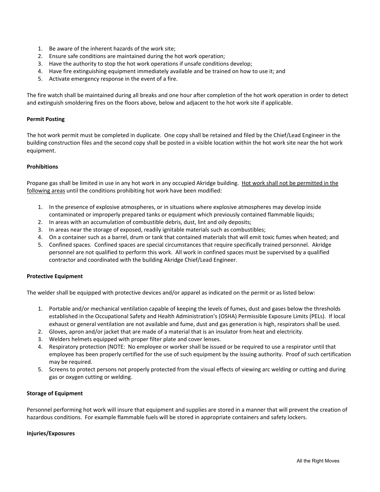- 1. Be aware of the inherent hazards of the work site;
- 2. Ensure safe conditions are maintained during the hot work operation;
- 3. Have the authority to stop the hot work operations if unsafe conditions develop;
- 4. Have fire extinguishing equipment immediately available and be trained on how to use it; and
- 5. Activate emergency response in the event of a fire.

The fire watch shall be maintained during all breaks and one hour after completion of the hot work operation in order to detect and extinguish smoldering fires on the floors above, below and adjacent to the hot work site if applicable.

#### **Permit Posting**

The hot work permit must be completed in duplicate. One copy shall be retained and filed by the Chief/Lead Engineer in the building construction files and the second copy shall be posted in a visible location within the hot work site near the hot work equipment.

#### **Prohibitions**

Propane gas shall be limited in use in any hot work in any occupied Akridge building. Hot work shall not be permitted in the following areas until the conditions prohibiting hot work have been modified:

- 1. In the presence of explosive atmospheres, or in situations where explosive atmospheres may develop inside contaminated or improperly prepared tanks or equipment which previously contained flammable liquids;
- 2. In areas with an accumulation of combustible debris, dust, lint and oily deposits;
- 3. In areas near the storage of exposed, readily ignitable materials such as combustibles;
- 4. On a container such as a barrel, drum or tank that contained materials that will emit toxic fumes when heated; and
- 5. Confined spaces. Confined spaces are special circumstances that require specifically trained personnel. Akridge personnel are not qualified to perform this work. All work in confined spaces must be supervised by a qualified contractor and coordinated with the building Akridge Chief/Lead Engineer.

#### **Protective Equipment**

The welder shall be equipped with protective devices and/or apparel as indicated on the permit or as listed below:

- 1. Portable and/or mechanical ventilation capable of keeping the levels of fumes, dust and gases below the thresholds established in the Occupational Safety and Health Administration's (OSHA) Permissible Exposure Limits (PELs). If local exhaust or general ventilation are not available and fume, dust and gas generation is high, respirators shall be used.
- 2. Gloves, apron and/or jacket that are made of a material that is an insulator from heat and electricity.
- 3. Welders helmets equipped with proper filter plate and cover lenses.
- 4. Respiratory protection (NOTE: No employee or worker shall be issued or be required to use a respirator until that employee has been properly certified for the use of such equipment by the issuing authority. Proof of such certification may be required.
- 5. Screens to protect persons not properly protected from the visual effects of viewing arc welding or cutting and during gas or oxygen cutting or welding.

#### **Storage of Equipment**

Personnel performing hot work will insure that equipment and supplies are stored in a manner that will prevent the creation of hazardous conditions. For example flammable fuels will be stored in appropriate containers and safety lockers.

#### **Injuries/Exposures**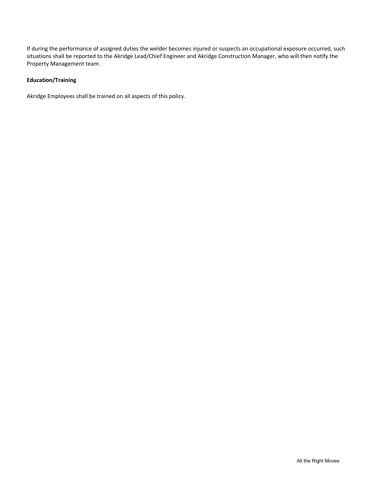If during the performance of assigned duties the welder becomes injured or suspects an occupational exposure occurred, such situations shall be reported to the Akridge Lead/Chief Engineer and Akridge Construction Manager, who will then notify the Property Management team.

#### **Education/Training**

Akridge Employees shall be trained on all aspects of this policy.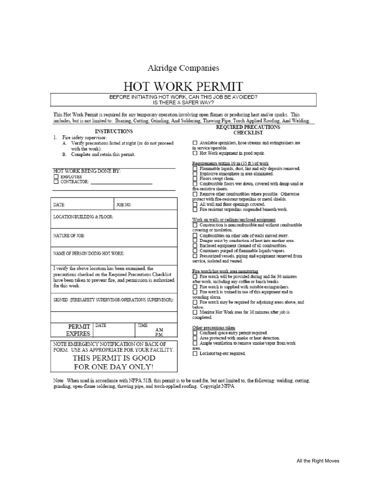### Akridge Companies

BEFORE INITIATING HOT WORK, CAN THIS JOB BE AVOIDED? IS THERE A SAFER WAY?

This Hot Work Permit is required for any temporary operation involving open flames or producing heat and/or sparks. This<br>includes, but is not limited to: Brazing, Cutting, Grinding, And Soldering, Thawing Pipe, Torch Appli

| includes, but is not limited to: Drazing, Cutting, Chinding, And Soldering, Thawing Pipe, Torch Applied Noonng, And Welding. |                                                               |                                                               |  |
|------------------------------------------------------------------------------------------------------------------------------|---------------------------------------------------------------|---------------------------------------------------------------|--|
|                                                                                                                              |                                                               | REQUIRED PRECAUTIONS                                          |  |
| <b>INSTRUCTIONS</b>                                                                                                          |                                                               | <b>CHECKLIST</b>                                              |  |
| 1. Fire safety supervisor:                                                                                                   |                                                               |                                                               |  |
|                                                                                                                              | A. Verify precautions listed at right (or do not proceed      | Available sprinklers, hose streams and extinguishers are      |  |
| with the work).                                                                                                              |                                                               | in service/operable.                                          |  |
| B. Complete and retain this permit.                                                                                          |                                                               | Hot Work equipment in good repair.                            |  |
|                                                                                                                              |                                                               | Requirements within 10 m (35 ft.) of work                     |  |
|                                                                                                                              |                                                               | Flammable liquids, dust, lint and oily deposits removed.      |  |
| HOT WORK BEING DONE BY:                                                                                                      |                                                               | Explosive atmosphere in area eliminated.                      |  |
| <b>NEMPLOYEE</b>                                                                                                             |                                                               | Floors swept clean.                                           |  |
| OONTRACTOR:                                                                                                                  |                                                               | Combustible floors wet down, covered with damp sand or        |  |
|                                                                                                                              |                                                               | fire-resistive sheets.                                        |  |
|                                                                                                                              |                                                               | Remove other combustibles where possible. Otherwise           |  |
|                                                                                                                              |                                                               | protect with fire-resistant tarpaulins or metal shields.      |  |
| DATE:                                                                                                                        | JOB NO.                                                       | All wall and floor openings covered.                          |  |
|                                                                                                                              |                                                               | $\Box$ Fire resistant tarpaulins suspended beneath work.      |  |
| LOCATION/BUILDING & FLOOR:                                                                                                   |                                                               | Work on walls or ceilings/enclosed equipment                  |  |
|                                                                                                                              |                                                               | $\Box$ Construction is noncombustible and without combustible |  |
|                                                                                                                              |                                                               | covering or insulation.                                       |  |
| NATURE OF JOB:                                                                                                               |                                                               | Combustibles on other side of walls moved away.               |  |
|                                                                                                                              |                                                               | □ Danger exist by conduction of heat into another area.       |  |
|                                                                                                                              |                                                               | $\Box$ Enclosed equipment cleaned of all combustibles.        |  |
| NAME OF PERSON DOING HOT WORK:                                                                                               |                                                               | Containers purged of flammable liquids/vapors.                |  |
|                                                                                                                              |                                                               | Pressurized vessels, piping and equipment removed from        |  |
|                                                                                                                              |                                                               | service, isolated and vented.                                 |  |
| I verify the above location has been examined, the                                                                           |                                                               | Fire watch/hot work area monitoring                           |  |
| precautions checked on the Required Precautions Checklist                                                                    |                                                               | $\Box$ Fire watch will be provided during and for 30 minutes  |  |
|                                                                                                                              | have been taken to prevent fire, and permission is authorized | after work, including any coffee or lunch breaks.             |  |
| for this work.                                                                                                               |                                                               | $\Box$ Fire watch is supplied with suitable extinguishers.    |  |
|                                                                                                                              |                                                               | $\Box$ Fire watch is trained in use of this equipment and in  |  |
|                                                                                                                              |                                                               | sounding alarm.                                               |  |
| SIGNED (FIRESAFETY SUPERVISOR/OPERATIONS SUPERVISOR):                                                                        |                                                               | Fire watch may be required for adjoining areas above, and     |  |
|                                                                                                                              |                                                               | below.                                                        |  |
|                                                                                                                              |                                                               | Monitor Hot Work area for 30 minutes after job is             |  |
|                                                                                                                              |                                                               | completed.                                                    |  |
| DATE<br>PERMIT                                                                                                               | TIME                                                          | Other precautions taken                                       |  |
| <b>EXPIRES</b>                                                                                                               | AM                                                            | Confined space entry permit required.                         |  |
|                                                                                                                              | P.M.                                                          | Area protected with smoke or heat detection.                  |  |
| NOTE EMERGENCY NOTIFICATION ON BACK OF                                                                                       |                                                               | Ample ventilation to remove smoke/vapor from work             |  |
| FORM. USE AS APPROPRIATE FOR YOUR FACILITY.                                                                                  |                                                               | area.                                                         |  |
|                                                                                                                              |                                                               | □ Lockout/tag-out required.                                   |  |
| THIS PERMIT IS GOOD                                                                                                          |                                                               |                                                               |  |
| FOR ONE DAY ONLY!                                                                                                            |                                                               |                                                               |  |
|                                                                                                                              |                                                               |                                                               |  |

Note: When used in accordance with NFPA 51B, this permit is to be used for, but not limited to, the following: welding, cutting, grinding, open-flame soldering, thawing pipe, and torch-applied roofing. Copyright NFPA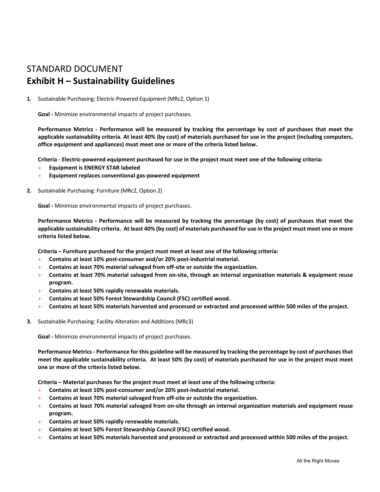### STANDARD DOCUMENT **Exhibit H – Sustainability Guidelines**

**1.** Sustainable Purchasing: Electric‐Powered Equipment (MRc2, Option 1)

**Goal ‐** Minimize environmental impacts of project purchases.

Performance Metrics - Performance will be measured by tracking the percentage by cost of purchases that meet the **applicable sustainability criteria. At least 40% (by cost) of materials purchased for use in the project (including computers, office equipment and appliances) must meet one or more of the criteria listed below.**

**Criteria ‐ Electric‐powered equipment purchased for use in the project must meet one of the following criteria:**

- **Equipment is ENERGY STAR labeled**
- **Equipment replaces conventional gas‐powered equipment**
- **2.** Sustainable Purchasing: Furniture (MRc2, Option 2)

**Goal ‐** Minimize environmental impacts of project purchases.

Performance Metrics - Performance will be measured by tracking the percentage (by cost) of purchases that meet the **applicable sustainability criteria. At least 40% (by cost) of materials purchased for use in the project must meet one or more criteria listed below.**

**Criteria – Furniture purchased for the project must meet at least one of the following criteria:**

- **Contains at least 10% post‐consumer and/or 20% post‐industrial material.**
- **Contains at least 70% material salvaged from off‐site or outside the organization.**
- **Contains at least 70% material salvaged from on‐site, through an internal organization materials & equipment reuse program.**
- **Contains at least 50% rapidly renewable materials.**
- **Contains at least 50% Forest Stewardship Council (FSC) certified wood.**
- **Contains at least 50% materials harvested and processed or extracted and processed within 500 miles of the project.**
- **3.** Sustainable Purchasing: Facility Alteration and Additions (MRc3)

**Goal ‐** Minimize environmental impacts of project purchases.

**Performance Metrics ‐ Performance for this guideline will be measured by tracking the percentage by cost of purchases that meet the applicable sustainability criteria. At least 50% (by cost) of materials purchased for use in the project must meet one or more of the criteria listed below.**

**Criteria – Material purchases for the project must meet at least one of the following criteria:** 

- **Contains at least 10% post‐consumer and/or 20% post‐industrial material.**
- **Contains at least 70% material salvaged from off‐site or outside the organization.**
- **Contains at least 70% material salvaged from on‐site through an internal organization materials and equipment reuse program.**
- **Contains at least 50% rapidly renewable materials.**
- **Contains at least 50% Forest Stewardship Council (FSC) certified wood.**
- **Contains at least 50% materials harvested and processed or extracted and processed within 500 miles of the project.**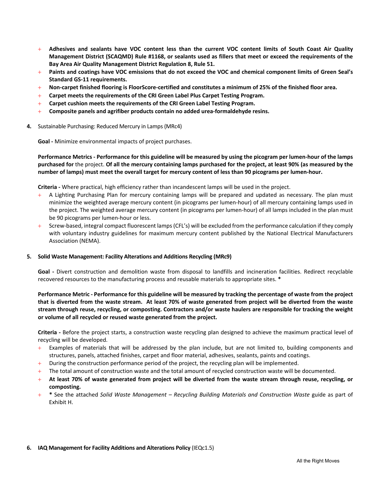- **Adhesives and sealants have VOC content less than the current VOC content limits of South Coast Air Quality Management District (SCAQMD) Rule #1168, or sealants used as fillers that meet or exceed the requirements of the Bay Area Air Quality Management District Regulation 8, Rule 51.**
- **Paints and coatings have VOC emissions that do not exceed the VOC and chemical component limits of Green Seal's Standard GS‐11 requirements.**
- **Non‐carpet finished flooring is FloorScore‐certified and constitutes a minimum of 25% of the finished floor area.**
- **Carpet meets the requirements of the CRI Green Label Plus Carpet Testing Program.**
- **Carpet cushion meets the requirements of the CRI Green Label Testing Program.**
- **Composite panels and agrifiber products contain no added urea‐formaldehyde resins.**
- **4.** Sustainable Purchasing: Reduced Mercury in Lamps (MRc4)

**Goal ‐** Minimize environmental impacts of project purchases.

**Performance Metrics ‐ Performance for this guideline will be measured by using the picogram per lumen‐hour of the lamps purchased for** the project. **Of all the mercury containing lamps purchased for the project, at least 90% (as measured by the number of lamps) must meet the overall target for mercury content of less than 90 picograms per lumen‐hour.**

**Criteria ‐** Where practical, high efficiency rather than incandescent lamps will be used in the project.

- A Lighting Purchasing Plan for mercury containing lamps will be prepared and updated as necessary. The plan must minimize the weighted average mercury content (in picograms per lumen‐hour) of all mercury containing lamps used in the project. The weighted average mercury content (in picograms per lumen‐hour) of all lamps included in the plan must be 90 picograms per lumen‐hour or less.
- Screw‐based, integral compact fluorescent lamps (CFL's) will be excluded from the performance calculation if they comply with voluntary industry guidelines for maximum mercury content published by the National Electrical Manufacturers Association (NEMA).

#### **5. Solid Waste Management: Facility Alterations and Additions Recycling (MRc9)**

Goal - Divert construction and demolition waste from disposal to landfills and incineration facilities. Redirect recyclable recovered resources to the manufacturing process and reusable materials to appropriate sites. **\***

#### **Performance Metric ‐ Performance for this guideline will be measured by tracking the percentage of waste from the project that is diverted from the waste stream. At least 70% of waste generated from project will be diverted from the waste stream through reuse, recycling, or composting. Contractors and/or waste haulers are responsible for tracking the weight or volume of all recycled or reused waste generated from the project.**

**Criteria ‐** Before the project starts, a construction waste recycling plan designed to achieve the maximum practical level of recycling will be developed.

- $+$  Examples of materials that will be addressed by the plan include, but are not limited to, building components and structures, panels, attached finishes, carpet and floor material, adhesives, sealants, paints and coatings.
- $+$  During the construction performance period of the project, the recycling plan will be implemented.
- $+$  The total amount of construction waste and the total amount of recycled construction waste will be documented.
- **At least 70% of waste generated from project will be diverted from the waste stream through reuse, recycling, or composting.**
- **\*** See the attached *Solid Waste Management Recycling Building Materials and Construction Waste* guide as part of Exhibit H.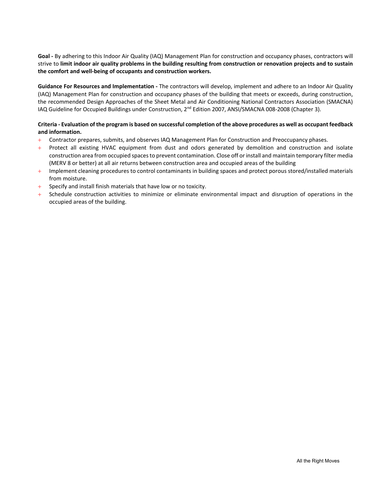**Goal ‐** By adhering to this Indoor Air Quality (IAQ) Management Plan for construction and occupancy phases, contractors will strive to **limit indoor air quality problems in the building resulting from construction or renovation projects and to sustain the comfort and well‐being of occupants and construction workers.**

**Guidance For Resources and Implementation ‐** The contractors will develop, implement and adhere to an Indoor Air Quality (IAQ) Management Plan for construction and occupancy phases of the building that meets or exceeds, during construction, the recommended Design Approaches of the Sheet Metal and Air Conditioning National Contractors Association (SMACNA) IAQ Guideline for Occupied Buildings under Construction, 2<sup>nd</sup> Edition 2007, ANSI/SMACNA 008-2008 (Chapter 3).

#### **Criteria ‐ Evaluation of the program is based on successful completion of the above procedures as well as occupant feedback and information.**

- Contractor prepares, submits, and observes IAQ Management Plan for Construction and Preoccupancy phases.
- $+$  Protect all existing HVAC equipment from dust and odors generated by demolition and construction and isolate construction area from occupied spaces to prevent contamination. Close off or install and maintain temporary filter media (MERV 8 or better) at all air returns between construction area and occupied areas of the building
- Implement cleaning procedures to control contaminants in building spaces and protect porous stored/installed materials from moisture.
- $+$  Specify and install finish materials that have low or no toxicity.
- + Schedule construction activities to minimize or eliminate environmental impact and disruption of operations in the occupied areas of the building.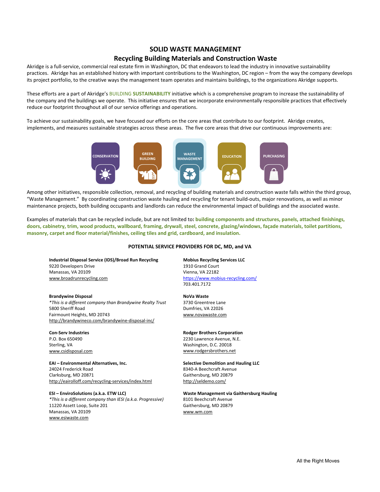#### **SOLID WASTE MANAGEMENT**

#### **Recycling Building Materials and Construction Waste**

Akridge is a full‐service, commercial real estate firm in Washington, DC that endeavors to lead the industry in innovative sustainability practices. Akridge has an established history with important contributions to the Washington, DC region – from the way the company develops its project portfolio, to the creative ways the management team operates and maintains buildings, to the organizations Akridge supports.

These efforts are a part of Akridge's BUILDING **SUSTAINABILITY** initiative which is a comprehensive program to increase the sustainability of the company and the buildings we operate. This initiative ensures that we incorporate environmentally responsible practices that effectively reduce our footprint throughout all of our service offerings and operations.

To achieve our sustainability goals, we have focused our efforts on the core areas that contribute to our footprint. Akridge creates, implements, and measures sustainable strategies across these areas. The five core areas that drive our continuous improvements are:



Among other initiatives, responsible collection, removal, and recycling of building materials and construction waste falls within the third group, "Waste Management." By coordinating construction waste hauling and recycling for tenant build‐outs, major renovations, as well as minor maintenance projects, both building occupants and landlords can reduce the environmental impact of buildings and the associated waste.

Examples of materials that can be recycled include, but are not limited to**: building components and structures, panels, attached finishings, doors, cabinetry, trim, wood products, wallboard, framing, drywall, steel, concrete, glazing/windows, façade materials, toilet partitions, masonry, carpet and floor material/finishes, ceiling tiles and grid, cardboard, and insulation.** 

#### **POTENTIAL SERVICE PROVIDERS FOR DC, MD, and VA**

**Industrial Disposal Service (IDS)/Broad Run Recycling Mobius Recycling Services LLC**  9220 Developers Drive Manassas, VA 20109 Vienna, VA 22182 www.broadrunrecycling.com https://www.mobius‐recycling.com/

**Brandywine Disposal NoVa Waste**  *\*This is a different company than Brandywine Realty Trust*  3730 Greentree Lane 5800 Sheriff Road **Dumfries**, VA 22026 Fairmount Heights, MD 20743 www.novawaste.com http://brandywineco.com/brandywine‐disposal‐inc/

**EAI – Environmental Alternatives, Inc. Selective Demolition and Hauling LLC**  24024 Frederick Road 8340‐A Beechcraft Avenue Clarksburg, MD 20871 Gaithersburg, MD 20879 http://eairolloff.com/recycling-services/index.html http://seldemo.com/

**ESI – EnviroSolutions (a.k.a. ETW LLC) Waste Management via Gaithersburg Hauling**  *\*This is a different company than IESI (a.k.a. Progressive)*  8101 Beechcraft Avenue 11220 Assett Loop, Suite 201 Gaithersburg, MD 20879 Manassas, VA 20109 www.wm.com www.esiwaste.com

703.401.7172

#### **Con‐Serv Industries Rodger Brothers Corporation**

P.O. Box 650490 2230 Lawrence Avenue, N.E. Washington, D.C. 20018 www.csidisposal.com www.rodgersbrothers.net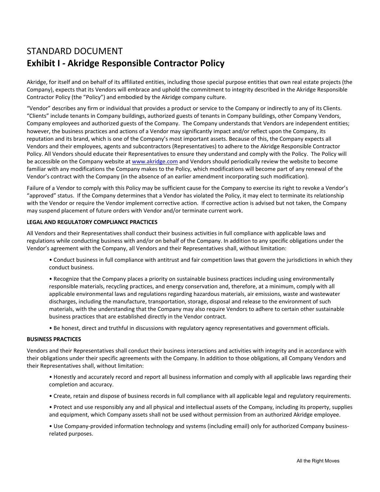### STANDARD DOCUMENT **Exhibit I** *‐* **Akridge Responsible Contractor Policy**

Akridge, for itself and on behalf of its affiliated entities, including those special purpose entities that own real estate projects (the Company), expects that its Vendors will embrace and uphold the commitment to integrity described in the Akridge Responsible Contractor Policy (the "Policy") and embodied by the Akridge company culture.

"Vendor" describes any firm or individual that provides a product or service to the Company or indirectly to any of its Clients. "Clients" include tenants in Company buildings, authorized guests of tenants in Company buildings, other Company Vendors, Company employees and authorized guests of the Company. The Company understands that Vendors are independent entities; however, the business practices and actions of a Vendor may significantly impact and/or reflect upon the Company, its reputation and its brand, which is one of the Company's most important assets. Because of this, the Company expects all Vendors and their employees, agents and subcontractors (Representatives) to adhere to the Akridge Responsible Contractor Policy. All Vendors should educate their Representatives to ensure they understand and comply with the Policy. The Policy will be accessible on the Company website at www.akridge.com and Vendors should periodically review the website to become familiar with any modifications the Company makes to the Policy, which modifications will become part of any renewal of the Vendor's contract with the Company (in the absence of an earlier amendment incorporating such modification).

Failure of a Vendor to comply with this Policy may be sufficient cause for the Company to exercise its right to revoke a Vendor's "approved" status. If the Company determines that a Vendor has violated the Policy, it may elect to terminate its relationship with the Vendor or require the Vendor implement corrective action. If corrective action is advised but not taken, the Company may suspend placement of future orders with Vendor and/or terminate current work.

#### **LEGAL AND REGULATORY COMPLIANCE PRACTICES**

All Vendors and their Representatives shall conduct their business activities in full compliance with applicable laws and regulations while conducting business with and/or on behalf of the Company. In addition to any specific obligations under the Vendor's agreement with the Company, all Vendors and their Representatives shall, without limitation:

• Conduct business in full compliance with antitrust and fair competition laws that govern the jurisdictions in which they conduct business.

• Recognize that the Company places a priority on sustainable business practices including using environmentally responsible materials, recycling practices, and energy conservation and, therefore, at a minimum, comply with all applicable environmental laws and regulations regarding hazardous materials, air emissions, waste and wastewater discharges, including the manufacture, transportation, storage, disposal and release to the environment of such materials, with the understanding that the Company may also require Vendors to adhere to certain other sustainable business practices that are established directly in the Vendor contract.

• Be honest, direct and truthful in discussions with regulatory agency representatives and government officials.

#### **BUSINESS PRACTICES**

Vendors and their Representatives shall conduct their business interactions and activities with integrity and in accordance with their obligations under their specific agreements with the Company. In addition to those obligations, all Company Vendors and their Representatives shall, without limitation:

• Honestly and accurately record and report all business information and comply with all applicable laws regarding their completion and accuracy.

• Create, retain and dispose of business records in full compliance with all applicable legal and regulatory requirements.

• Protect and use responsibly any and all physical and intellectual assets of the Company, including its property, supplies and equipment, which Company assets shall not be used without permission from an authorized Akridge employee.

• Use Company‐provided information technology and systems (including email) only for authorized Company business‐ related purposes.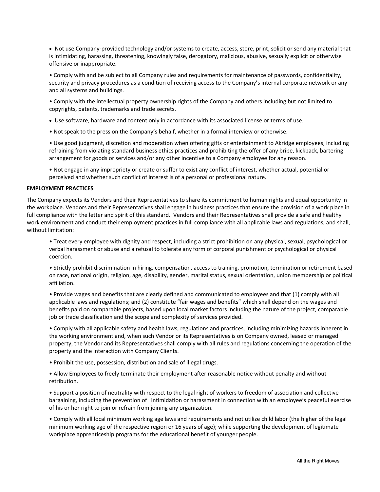● Not use Company-provided technology and/or systems to create, access, store, print, solicit or send any material that is intimidating, harassing, threatening, knowingly false, derogatory, malicious, abusive, sexually explicit or otherwise offensive or inappropriate.

• Comply with and be subject to all Company rules and requirements for maintenance of passwords, confidentiality, security and privacy procedures as a condition of receiving access to the Company's internal corporate network or any and all systems and buildings.

• Comply with the intellectual property ownership rights of the Company and others including but not limited to copyrights, patents, trademarks and trade secrets.

- Use software, hardware and content only in accordance with its associated license or terms of use.
- Not speak to the press on the Company's behalf, whether in a formal interview or otherwise.

• Use good judgment, discretion and moderation when offering gifts or entertainment to Akridge employees, including refraining from violating standard business ethics practices and prohibiting the offer of any bribe, kickback, bartering arrangement for goods or services and/or any other incentive to a Company employee for any reason.

• Not engage in any impropriety or create or suffer to exist any conflict of interest, whether actual, potential or perceived and whether such conflict of interest is of a personal or professional nature.

#### **EMPLOYMENT PRACTICES**

The Company expects its Vendors and their Representatives to share its commitment to human rights and equal opportunity in the workplace. Vendors and their Representatives shall engage in business practices that ensure the provision of a work place in full compliance with the letter and spirit of this standard. Vendors and their Representatives shall provide a safe and healthy work environment and conduct their employment practices in full compliance with all applicable laws and regulations, and shall, without limitation:

• Treat every employee with dignity and respect, including a strict prohibition on any physical, sexual, psychological or verbal harassment or abuse and a refusal to tolerate any form of corporal punishment or psychological or physical coercion.

• Strictly prohibit discrimination in hiring, compensation, access to training, promotion, termination or retirement based on race, national origin, religion, age, disability, gender, marital status, sexual orientation, union membership or political affiliation.

• Provide wages and benefits that are clearly defined and communicated to employees and that (1) comply with all applicable laws and regulations; and (2) constitute "fair wages and benefits" which shall depend on the wages and benefits paid on comparable projects, based upon local market factors including the nature of the project, comparable job or trade classification and the scope and complexity of services provided.

• Comply with all applicable safety and health laws, regulations and practices, including minimizing hazards inherent in the working environment and, when such Vendor or its Representatives is on Company owned, leased or managed property, the Vendor and its Representatives shall comply with all rules and regulations concerning the operation of the property and the interaction with Company Clients.

• Prohibit the use, possession, distribution and sale of illegal drugs.

• Allow Employees to freely terminate their employment after reasonable notice without penalty and without retribution.

• Support a position of neutrality with respect to the legal right of workers to freedom of association and collective bargaining, including the prevention of intimidation or harassment in connection with an employee's peaceful exercise of his or her right to join or refrain from joining any organization.

• Comply with all local minimum working age laws and requirements and not utilize child labor (the higher of the legal minimum working age of the respective region or 16 years of age); while supporting the development of legitimate workplace apprenticeship programs for the educational benefit of younger people.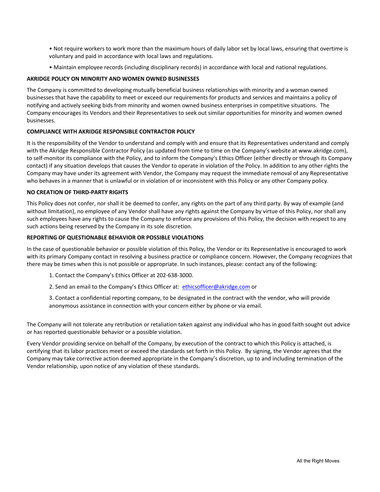• Not require workers to work more than the maximum hours of daily labor set by local laws, ensuring that overtime is voluntary and paid in accordance with local laws and regulations.

• Maintain employee records (including disciplinary records) in accordance with local and national regulations.

#### **AKRIDGE POLICY ON MINORITY AND WOMEN OWNED BUSINESSES**

The Company is committed to developing mutually beneficial business relationships with minority and a woman owned businesses that have the capability to meet or exceed our requirements for products and services and maintains a policy of notifying and actively seeking bids from minority and women owned business enterprises in competitive situations. The Company encourages its Vendors and their Representatives to seek out similar opportunities for minority and women owned businesses.

#### **COMPLIANCE WITH AKRIDGE RESPONSIBLE CONTRACTOR POLICY**

It is the responsibility of the Vendor to understand and comply with and ensure that its Representatives understand and comply with the Akridge Responsible Contractor Policy (as updated from time to time on the Company's website at www.akridge.com), to self‐monitor its compliance with the Policy, and to inform the Company's Ethics Officer (either directly or through its Company contact) if any situation develops that causes the Vendor to operate in violation of the Policy. In addition to any other rights the Company may have under its agreement with Vendor, the Company may request the immediate removal of any Representative who behaves in a manner that is unlawful or in violation of or inconsistent with this Policy or any other Company policy.

#### **NO CREATION OF THIRD‐PARTY RIGHTS**

This Policy does not confer, nor shall it be deemed to confer, any rights on the part of any third party. By way of example (and without limitation), no employee of any Vendor shall have any rights against the Company by virtue of this Policy, nor shall any such employees have any rights to cause the Company to enforce any provisions of this Policy, the decision with respect to any such actions being reserved by the Company in its sole discretion.

#### **REPORTING OF QUESTIONABLE BEHAVIOR OR POSSIBLE VIOLATIONS**

In the case of questionable behavior or possible violation of this Policy, the Vendor or its Representative is encouraged to work with its primary Company contact in resolving a business practice or compliance concern. However, the Company recognizes that there may be times when this is not possible or appropriate. In such instances, please: contact any of the following:

1. Contact the Company's Ethics Officer at 202‐638‐3000.

2. Send an email to the Company's Ethics Officer at: ethicsofficer@akridge.com or

3. Contact a confidential reporting company, to be designated in the contract with the vendor, who will provide anonymous assistance in connection with your concern either by phone or via email.

The Company will not tolerate any retribution or retaliation taken against any individual who has in good faith sought out advice or has reported questionable behavior or a possible violation.

Every Vendor providing service on behalf of the Company, by execution of the contract to which this Policy is attached, is certifying that its labor practices meet or exceed the standards set forth in this Policy. By signing, the Vendor agrees that the Company may take corrective action deemed appropriate in the Company's discretion, up to and including termination of the Vendor relationship, upon notice of any violation of these standards.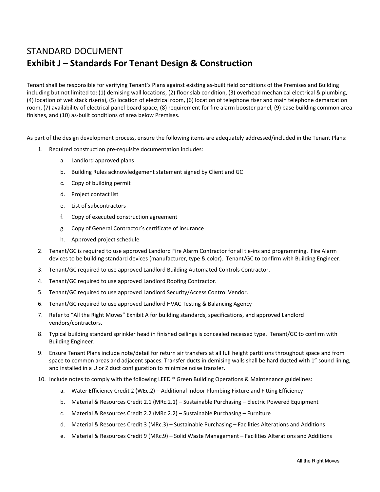### STANDARD DOCUMENT **Exhibit J** *–* **Standards For Tenant Design & Construction**

Tenant shall be responsible for verifying Tenant's Plans against existing as‐built field conditions of the Premises and Building including but not limited to: (1) demising wall locations, (2) floor slab condition, (3) overhead mechanical electrical & plumbing, (4) location of wet stack riser(s), (5) location of electrical room, (6) location of telephone riser and main telephone demarcation room, (7) availability of electrical panel board space, (8) requirement for fire alarm booster panel, (9) base building common area finishes, and (10) as-built conditions of area below Premises.

As part of the design development process, ensure the following items are adequately addressed/included in the Tenant Plans:

- 1. Required construction pre‐requisite documentation includes:
	- a. Landlord approved plans
	- b. Building Rules acknowledgement statement signed by Client and GC
	- c. Copy of building permit
	- d. Project contact list
	- e. List of subcontractors
	- f. Copy of executed construction agreement
	- g. Copy of General Contractor's certificate of insurance
	- h. Approved project schedule
- 2. Tenant/GC is required to use approved Landlord Fire Alarm Contractor for all tie‐ins and programming. Fire Alarm devices to be building standard devices (manufacturer, type & color). Tenant/GC to confirm with Building Engineer.
- 3. Tenant/GC required to use approved Landlord Building Automated Controls Contractor.
- 4. Tenant/GC required to use approved Landlord Roofing Contractor.
- 5. Tenant/GC required to use approved Landlord Security/Access Control Vendor.
- 6. Tenant/GC required to use approved Landlord HVAC Testing & Balancing Agency
- 7. Refer to "All the Right Moves" Exhibit A for building standards, specifications, and approved Landlord vendors/contractors.
- 8. Typical building standard sprinkler head in finished ceilings is concealed recessed type. Tenant/GC to confirm with Building Engineer.
- 9. Ensure Tenant Plans include note/detail for return air transfers at all full height partitions throughout space and from space to common areas and adjacent spaces. Transfer ducts in demising walls shall be hard ducted with 1" sound lining, and installed in a U or Z duct configuration to minimize noise transfer.
- 10. Include notes to comply with the following LEED ® Green Building Operations & Maintenance guidelines:
	- a. Water Efficiency Credit 2 (WEc.2) Additional Indoor Plumbing Fixture and Fitting Efficiency
	- b. Material & Resources Credit 2.1 (MRc.2.1) Sustainable Purchasing Electric Powered Equipment
	- c. Material & Resources Credit 2.2 (MRc.2.2) Sustainable Purchasing Furniture
	- d. Material & Resources Credit 3 (MRc.3) Sustainable Purchasing Facilities Alterations and Additions
	- e. Material & Resources Credit 9 (MRc.9) Solid Waste Management Facilities Alterations and Additions